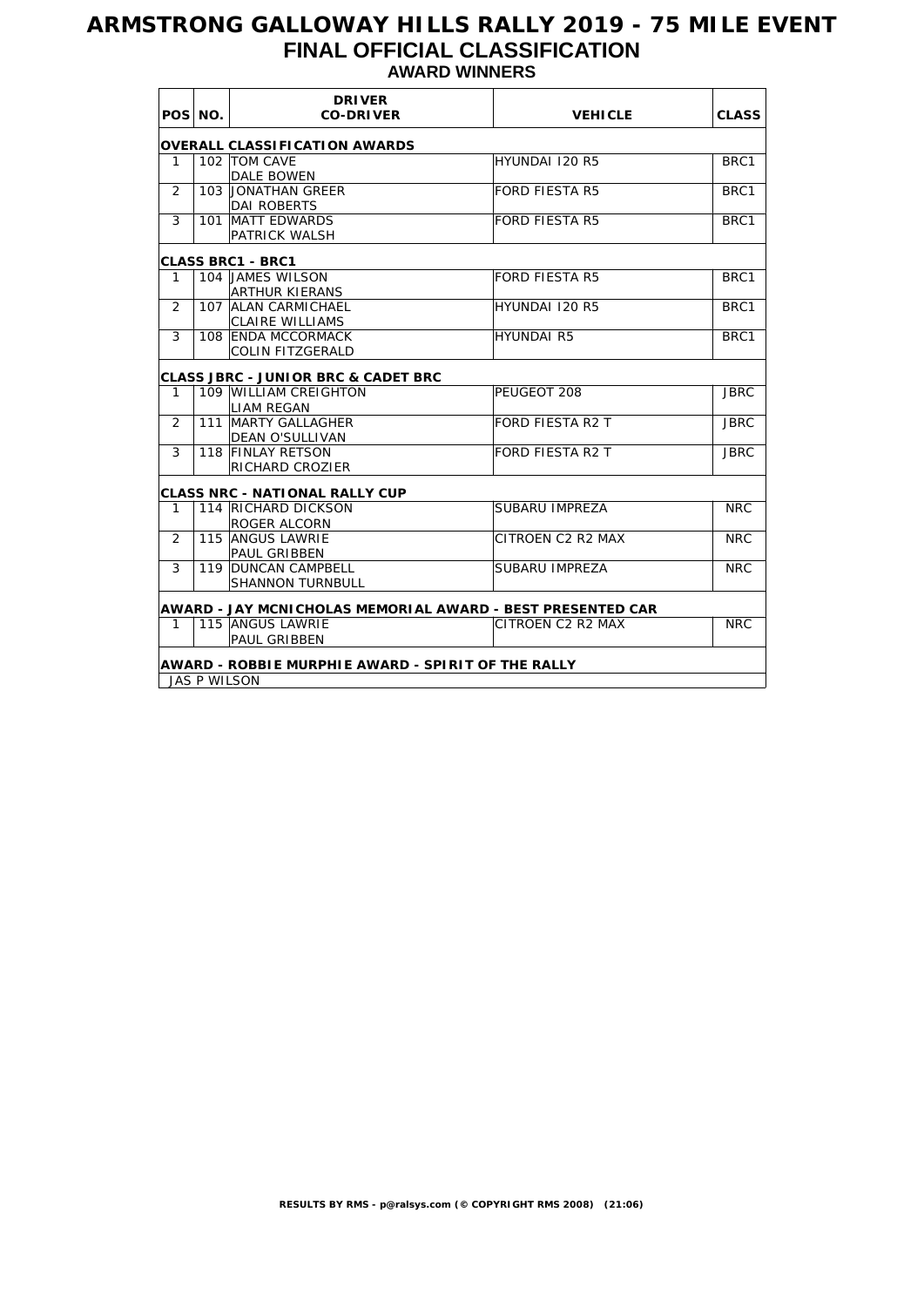# **ARMSTRONG GALLOWAY HILLS RALLY 2019 - 75 MILE EVENT FINAL OFFICIAL CLASSIFICATION AWARD WINNERS**

|                | POS NO. | <b>DRIVER</b><br><b>CO-DRIVER</b>                          | <b>VEHICLE</b>                         | <b>CLASS</b> |  |  |  |
|----------------|---------|------------------------------------------------------------|----------------------------------------|--------------|--|--|--|
|                |         | OVERALL CLASSIFICATION AWARDS                              |                                        |              |  |  |  |
| 1              |         | 102 TOM CAVE                                               | HYUNDAI 120 R5                         | BRC1         |  |  |  |
|                |         | <b>DALE BOWEN</b>                                          |                                        |              |  |  |  |
| 2              |         | 103 JONATHAN GREER                                         | <b>FORD FIESTA R5</b>                  | BRC1         |  |  |  |
|                |         | <b>DAI ROBERTS</b>                                         |                                        |              |  |  |  |
| 3              |         | 101 MATT EDWARDS                                           | <b>FORD FIESTA R5</b>                  | BRC1         |  |  |  |
|                |         | PATRICK WALSH                                              |                                        |              |  |  |  |
|                |         | <b>CLASS BRC1 - BRC1</b>                                   |                                        |              |  |  |  |
| 1              |         | 104 JAMES WILSON                                           | <b>FORD FIESTA R5</b>                  | BRC1         |  |  |  |
|                |         | <b>ARTHUR KIERANS</b>                                      |                                        |              |  |  |  |
| $\overline{2}$ |         | 107 ALAN CARMICHAEL                                        | HYUNDAI 120 R5                         | BRC1         |  |  |  |
|                |         | <b>CLAIRE WILLIAMS</b>                                     |                                        |              |  |  |  |
| 3              |         | 108 ENDA MCCORMACK                                         | <b>HYUNDAI R5</b>                      | BRC1         |  |  |  |
|                |         | <b>COLIN FITZGERALD</b>                                    |                                        |              |  |  |  |
|                |         |                                                            |                                        |              |  |  |  |
|                |         | <b>CLASS JBRC - JUNIOR BRC &amp; CADET BRC</b>             |                                        |              |  |  |  |
| 1              |         | 109 WILLIAM CREIGHTON                                      | PEUGEOT 208                            | <b>JBRC</b>  |  |  |  |
|                |         | <b>LIAM REGAN</b>                                          |                                        |              |  |  |  |
| 2              |         | 111 MARTY GALLAGHER                                        | <b>FORD FIESTA R2 T</b><br><b>JBRC</b> |              |  |  |  |
|                |         | DEAN O'SULLIVAN                                            |                                        |              |  |  |  |
| 3              |         | 118 FINLAY RETSON                                          | <b>FORD FIESTA R2 T</b>                | <b>JBRC</b>  |  |  |  |
|                |         | RICHARD CROZIER                                            |                                        |              |  |  |  |
|                |         | <b>CLASS NRC - NATIONAL RALLY CUP</b>                      |                                        |              |  |  |  |
| 1              |         | 114 RICHARD DICKSON                                        | SUBARU IMPREZA                         | <b>NRC</b>   |  |  |  |
|                |         | <b>ROGER ALCORN</b>                                        |                                        |              |  |  |  |
| $\mathcal{P}$  |         | 115 ANGUS LAWRIE                                           | CITROEN C2 R2 MAX                      | <b>NRC</b>   |  |  |  |
|                |         | <b>PAUL GRIBBEN</b>                                        |                                        |              |  |  |  |
| 3              |         | 119 DUNCAN CAMPBELL                                        | SUBARU IMPREZA                         | <b>NRC</b>   |  |  |  |
|                |         | <b>SHANNON TURNBULL</b>                                    |                                        |              |  |  |  |
|                |         |                                                            |                                        |              |  |  |  |
|                |         | AWARD - JAY MCNICHOLAS MEMORIAL AWARD - BEST PRESENTED CAR |                                        |              |  |  |  |
| 1              |         | 115 ANGUS LAWRIE                                           | CITROEN C2 R2 MAX                      | <b>NRC</b>   |  |  |  |
|                |         | <b>PAUL GRIBBEN</b>                                        |                                        |              |  |  |  |
|                |         | AWARD - ROBBIE MURPHIE AWARD - SPIRIT OF THE RALLY         |                                        |              |  |  |  |
|                |         | <b>JAS P WILSON</b>                                        |                                        |              |  |  |  |
|                |         |                                                            |                                        |              |  |  |  |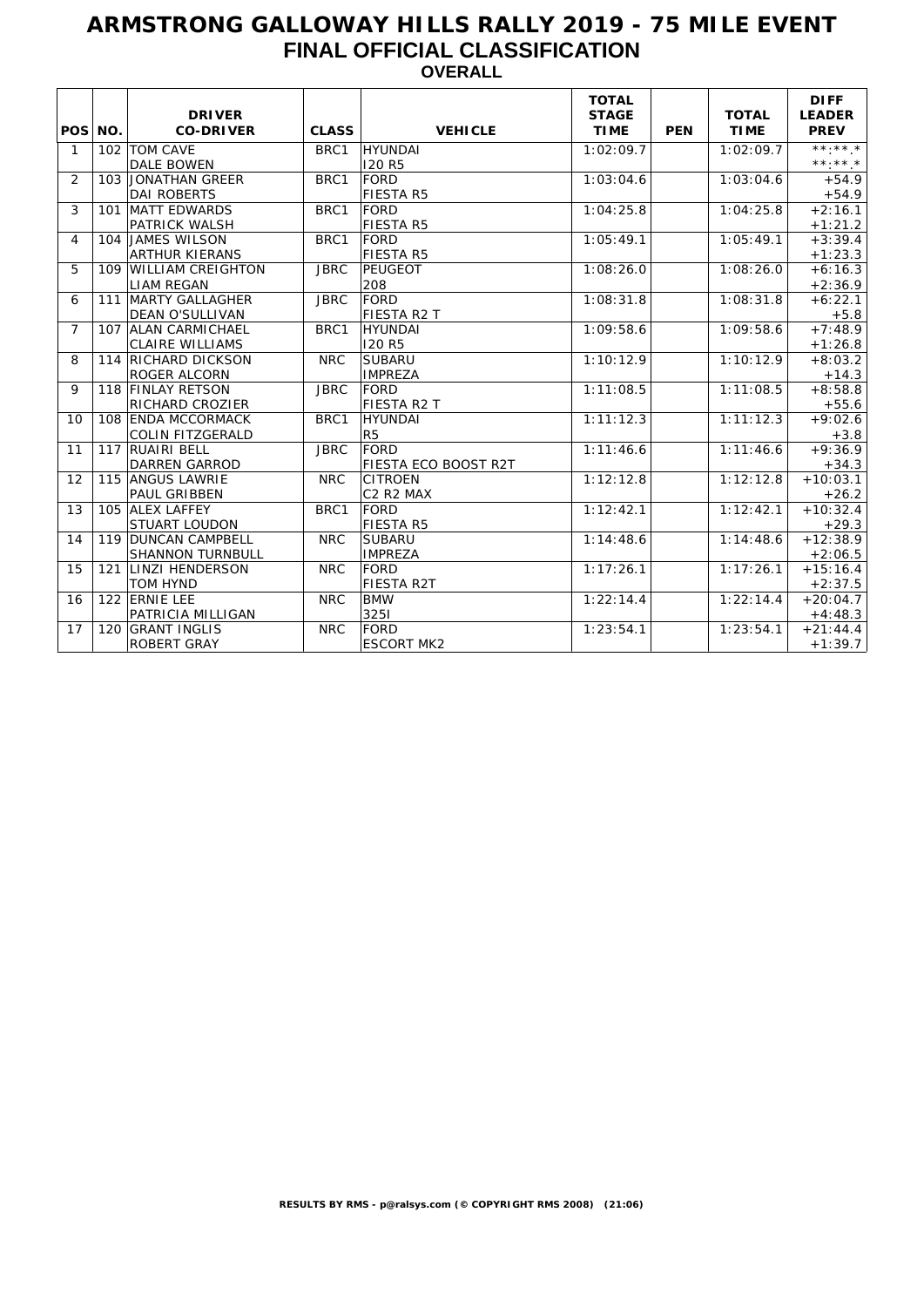## **ARMSTRONG GALLOWAY HILLS RALLY 2019 - 75 MILE EVENT FINAL OFFICIAL CLASSIFICATION OVERALL**

| POS NO.        |     | <b>DRIVER</b><br><b>CO-DRIVER</b>              | <b>CLASS</b> | <b>VEHICLE</b>                  | <b>TOTAL</b><br><b>STAGE</b><br><b>TIME</b> | <b>PEN</b> | <b>TOTAL</b><br><b>TIME</b> | <b>DIFF</b><br><b>LEADER</b><br><b>PREV</b>  |
|----------------|-----|------------------------------------------------|--------------|---------------------------------|---------------------------------------------|------------|-----------------------------|----------------------------------------------|
| $\mathbf{1}$   |     | 102   TOM CAVE<br>DALE BOWEN                   | BRC1         | HYUNDAI<br><b>120 R5</b>        | 1:02:09.7                                   |            | 1:02:09.7                   | $***.**$<br>$\star\star\star\star\star\star$ |
| 2              |     | 103 JONATHAN GREER<br><b>DAI ROBERTS</b>       | BRC1         | FORD<br><b>FIESTA R5</b>        | 1:03:04.6                                   |            | 1:03:04.6                   | $+54.9$<br>$+54.9$                           |
| 3              | 101 | <b>MATT EDWARDS</b><br>PATRICK WALSH           | BRC1         | FORD<br><b>FIESTA R5</b>        | 1:04:25.8                                   |            | 1:04:25.8                   | $+2:16.1$<br>$+1:21.2$                       |
| 4              |     | 104 JAMES WILSON<br><b>ARTHUR KIERANS</b>      | BRC1         | FORD<br>FIESTA R5               | 1:05:49.1                                   |            | 1:05:49.1                   | $+3:39.4$<br>$+1:23.3$                       |
| 5              |     | 109 WILLIAM CREIGHTON<br>LIAM REGAN            | <b>JBRC</b>  | PEUGEOT<br>208                  | 1:08:26.0                                   |            | 1:08:26.0                   | $+6:16.3$<br>$+2:36.9$                       |
| 6              |     | 111 MARTY GALLAGHER<br><b>DEAN O'SULLIVAN</b>  | <b>JBRC</b>  | FORD<br>FIESTA R2 T             | 1:08:31.8                                   |            | 1:08:31.8                   | $+6:22.1$<br>$+5.8$                          |
| $\overline{7}$ |     | 107 ALAN CARMICHAEL<br><b>CLAIRE WILLIAMS</b>  | BRC1         | HYUNDAI<br><b>120 R5</b>        | 1:09:58.6                                   |            | 1:09:58.6                   | $+7:48.9$<br>$+1:26.8$                       |
| 8              |     | 114 RICHARD DICKSON<br><b>ROGER ALCORN</b>     | <b>NRC</b>   | <b>SUBARU</b><br><b>IMPREZA</b> | 1:10:12.9                                   |            | 1:10:12.9                   | $+8:03.2$<br>$+14.3$                         |
| 9              |     | 118 FINLAY RETSON<br><b>RICHARD CROZIER</b>    | <b>JBRC</b>  | FORD<br>FIESTA R2 T             | 1:11:08.5                                   |            | 1:11:08.5                   | $+8:58.8$<br>$+55.6$                         |
| 10             |     | 108 ENDA MCCORMACK<br><b>COLIN FITZGERALD</b>  | BRC1         | HYUNDAI<br>R <sub>5</sub>       | 1:11:12.3                                   |            | 1:11:12.3                   | $+9:02.6$<br>$+3.8$                          |
| 11             |     | 117 RUAIRI BELL<br><b>DARREN GARROD</b>        | <b>JBRC</b>  | FORD<br>FIESTA ECO BOOST R2T    | 1:11:46.6                                   |            | 1:11:46.6                   | $+9:36.9$<br>$+34.3$                         |
| 12             |     | 115 ANGUS LAWRIE<br>PAUL GRIBBEN               | <b>NRC</b>   | <b>CITROEN</b><br>C2 R2 MAX     | 1:12:12.8                                   |            | 1:12:12.8                   | $+10:03.1$<br>$+26.2$                        |
| 13             |     | 105 ALEX LAFFEY<br><b>STUART LOUDON</b>        | BRC1         | FORD<br>FIESTA R5               | 1:12:42.1                                   |            | 1:12:42.1                   | $+10:32.4$<br>$+29.3$                        |
| 14             |     | 119 DUNCAN CAMPBELL<br><b>SHANNON TURNBULL</b> | <b>NRC</b>   | <b>SUBARU</b><br><b>IMPREZA</b> | 1:14:48.6                                   |            | 1:14:48.6                   | $+12:38.9$<br>$+2:06.5$                      |
| 15             |     | 121 LINZI HENDERSON<br><b>TOM HYND</b>         | <b>NRC</b>   | FORD<br>FIESTA R2T              | 1:17:26.1                                   |            | 1:17:26.1                   | $+15:16.4$<br>$+2:37.5$                      |
| 16             |     | 122 ERNIE LEE<br>PATRICIA MILLIGAN             | <b>NRC</b>   | <b>BMW</b><br>3251              | 1:22:14.4                                   |            | 1:22:14.4                   | $+20:04.7$<br>$+4:48.3$                      |
| 17             |     | 120 GRANT INGLIS<br><b>ROBERT GRAY</b>         | <b>NRC</b>   | FORD<br><b>ESCORT MK2</b>       | 1:23:54.1                                   |            | 1:23:54.1                   | $+21:44.4$<br>$+1:39.7$                      |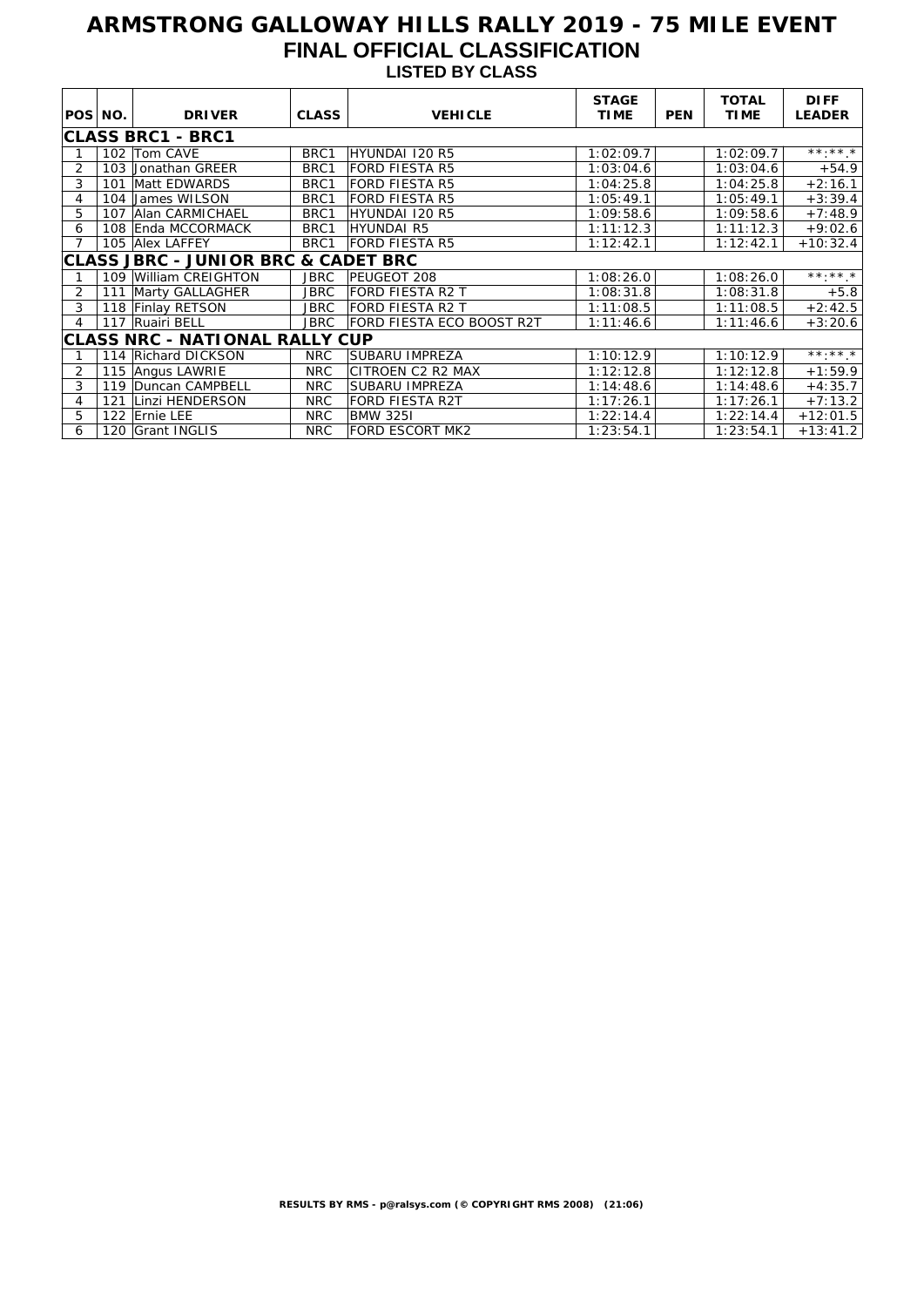# **ARMSTRONG GALLOWAY HILLS RALLY 2019 - 75 MILE EVENT FINAL OFFICIAL CLASSIFICATION LISTED BY CLASS**

|         |     |                                                |              |                           | <b>STAGE</b> |            | <b>TOTAL</b> | <b>DIFF</b>                      |
|---------|-----|------------------------------------------------|--------------|---------------------------|--------------|------------|--------------|----------------------------------|
| POS NO. |     | <b>DRIVER</b>                                  | <b>CLASS</b> | <b>VEHICLE</b>            | <b>TIME</b>  | <b>PEN</b> | <b>TIME</b>  | <b>LEADER</b>                    |
|         |     | ∣CLASS BRC1 - BRC1                             |              |                           |              |            |              |                                  |
|         |     | 102 Tom CAVE                                   | BRC1         | HYUNDAI 120 R5            | 1:02:09.7    |            | 1:02:09.7    | $\star\star\cdot\star\star\star$ |
| 2       |     | 103 Jonathan GREER                             | BRC1         | <b>FORD FIESTA R5</b>     | 1:03:04.6    |            | 1:03:04.6    | $+54.9$                          |
| 3       | 101 | Matt EDWARDS                                   | BRC1         | <b>FORD FIESTA R5</b>     | 1:04:25.8    |            | 1:04:25.8    | $+2:16.1$                        |
| 4       |     | 104 James WILSON                               | BRC1         | <b>FORD FIESTA R5</b>     | 1:05:49.1    |            | 1:05:49.1    | $+3:39.4$                        |
| 5       |     | 107 Alan CARMICHAEL                            | BRC1         | HYUNDAI 120 R5            | 1:09:58.6    |            | 1:09:58.6    | $+7:48.9$                        |
| 6       |     | 108 Enda MCCORMACK                             | BRC1         | <b>HYUNDAI R5</b>         | 1:11:12.3    |            | 1:11:12.3    | $+9:02.6$                        |
|         |     | 105 Alex LAFFEY                                | BRC1         | <b>FORD FIESTA R5</b>     | 1:12:42.1    |            | 1:12:42.1    | $+10:32.4$                       |
|         |     | <b>CLASS JBRC - JUNIOR BRC &amp; CADET BRC</b> |              |                           |              |            |              |                                  |
|         |     | 109 William CREIGHTON                          | <b>JBRC</b>  | <b>PEUGEOT 208</b>        | 1:08:26.0    |            | 1:08:26.0    | $***.**$ *                       |
| 2       | 111 | Marty GALLAGHER                                | JBRC         | FORD FIESTA R2 T          | 1:08:31.8    |            | 1:08:31.8    | $+5.8$                           |
| 3       |     | 118 Finlay RETSON                              | <b>JBRC</b>  | <b>FORD FIESTA R2 T</b>   | 1:11:08.5    |            | 1:11:08.5    | $+2:42.5$                        |
| 4       |     | 117 Ruairi BELL                                | <b>JBRC</b>  | FORD FIESTA ECO BOOST R2T | 1:11:46.6    |            | 1:11:46.6    | $+3:20.6$                        |
|         |     | <b>CLASS NRC - NATIONAL RALLY CUP</b>          |              |                           |              |            |              |                                  |
|         |     | 114 Richard DICKSON                            | NRC          | SUBARU IMPREZA            | 1:10:12.9    |            | 1:10:12.9    | $***$ $*$ $*$                    |
| 2       |     | 115 Angus LAWRIE                               | <b>NRC</b>   | CITROEN C2 R2 MAX         | 1:12:12.8    |            | 1:12:12.8    | $+1:59.9$                        |
| 3       | 119 | Duncan CAMPBELL                                | <b>NRC</b>   | <b>SUBARU IMPREZA</b>     | 1:14:48.6    |            | 1:14:48.6    | $+4:35.7$                        |
| 4       | 121 | Linzi HENDERSON                                | <b>NRC</b>   | <b>FORD FIESTA R2T</b>    | 1:17:26.1    |            | 1:17:26.1    | $+7:13.2$                        |
| 5       |     | 122 Ernie LEE                                  | <b>NRC</b>   | <b>BMW 3251</b>           | 1:22:14.4    |            | 1:22:14.4    | $+12:01.5$                       |
| 6       | 120 | <b>Grant INGLIS</b>                            | <b>NRC</b>   | <b>FORD ESCORT MK2</b>    | 1:23:54.1    |            | 1:23:54.1    | $+13:41.2$                       |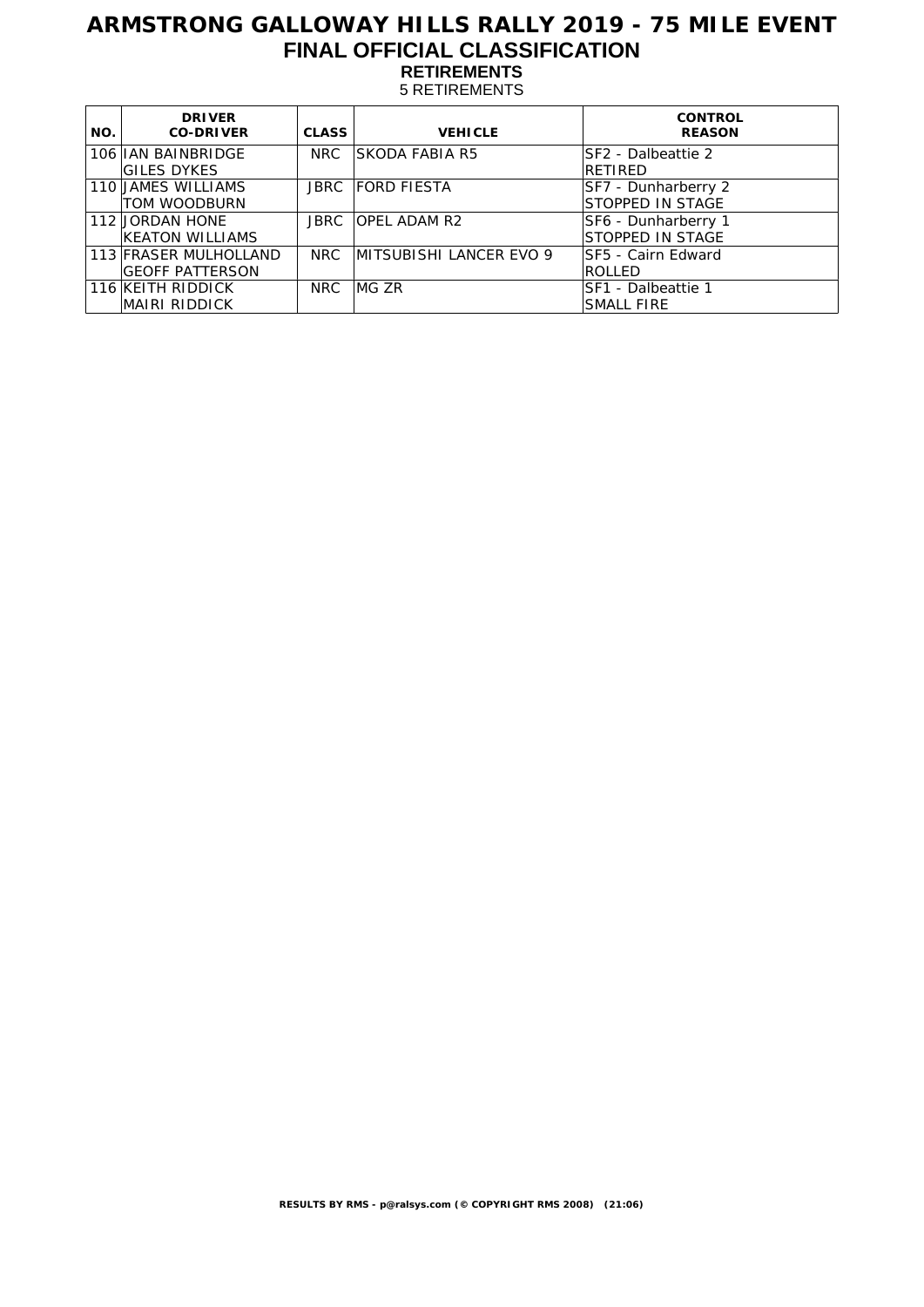# **ARMSTRONG GALLOWAY HILLS RALLY 2019 - 75 MILE EVENT FINAL OFFICIAL CLASSIFICATION RETIREMENTS**

5 RETIREMENTS

| NO. | <b>DRIVER</b><br><b>CO-DRIVER</b> | <b>CLASS</b> | <b>VEHICLE</b>                 | <b>CONTROL</b><br><b>REASON</b> |
|-----|-----------------------------------|--------------|--------------------------------|---------------------------------|
|     | 106 IIAN BAINBRIDGE               | NRC          | <b>SKODA FABIA R5</b>          | <b>SF2 - Dalbeattie 2</b>       |
|     | <b>GILES DYKES</b>                |              |                                | RETIRED                         |
|     | 110 JAMES WILLIAMS                | JBRC         | <b>FORD FIESTA</b>             | SF7 - Dunharberry 2             |
|     | TOM WOODBURN                      |              |                                | <b>STOPPED IN STAGE</b>         |
|     | 112 JORDAN HONE                   | JBRC         | <b>OPEL ADAM R2</b>            | SF6 - Dunharberry 1             |
|     | KEATON WILLIAMS                   |              |                                | <b>STOPPED IN STAGE</b>         |
|     | 113 FRASER MULHOLLAND             | NRC          | <b>MITSUBISHI LANCER EVO 9</b> | ISF5 - Cairn Edward             |
|     | <b>GEOFF PATTERSON</b>            |              |                                | <b>ROLLED</b>                   |
|     | 116 KEITH RIDDICK                 | NRC.         | IMG ZR                         | SF1 - Dalbeattie 1              |
|     | MAIRI RIDDICK                     |              |                                | <b>SMALL FIRE</b>               |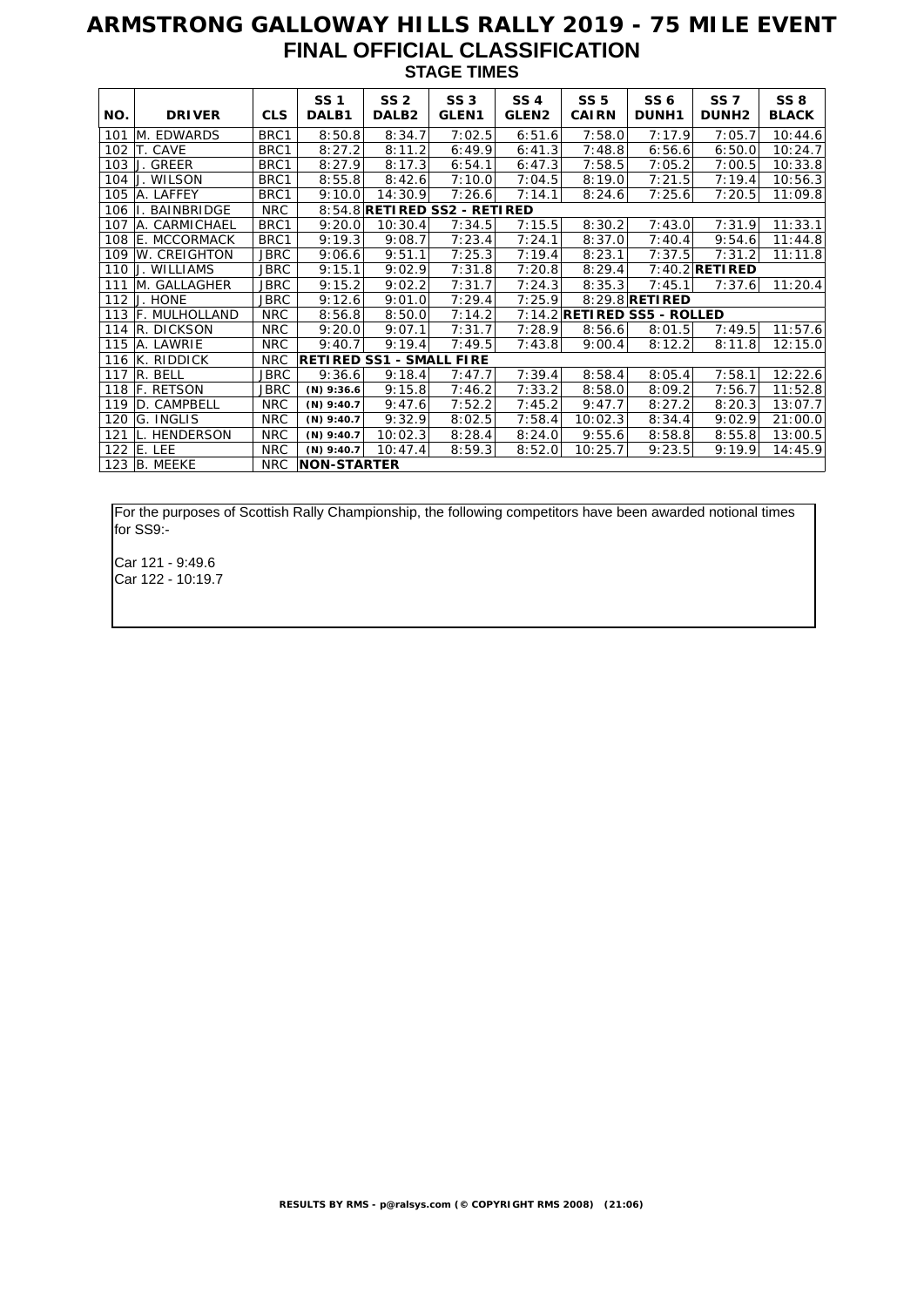#### **ARMSTRONG GALLOWAY HILLS RALLY 2019 - 75 MILE EVENT FINAL OFFICIAL CLASSIFICATION STAGE TIMES**

| NO. | <b>DRIVER</b>        | <b>CLS</b>  | <b>SS1</b><br>DALB1 | SS <sub>2</sub><br>DALB <sub>2</sub> | <b>SS 3</b><br>GLEN <sub>1</sub> | <b>SS4</b><br>GLEN <sub>2</sub> | <b>SS 5</b><br><b>CAIRN</b>   | SS <sub>6</sub><br><b>DUNH1</b> | <b>SS7</b><br>DUNH <sub>2</sub> | <b>SS 8</b><br><b>BLACK</b> |
|-----|----------------------|-------------|---------------------|--------------------------------------|----------------------------------|---------------------------------|-------------------------------|---------------------------------|---------------------------------|-----------------------------|
| 101 | M. EDWARDS           | BRC1        | 8:50.8              | 8:34.7                               | 7:02.5                           | 6:51.6                          | 7:58.0                        | 7:17.9                          | 7:05.7                          | 10:44.6                     |
| 102 | T. CAVE              | BRC1        | 8:27.2              | 8:11.2                               | 6:49.9                           | 6:41.3                          | 7:48.8                        | 6:56.6                          | 6:50.0                          | 10:24.7                     |
| 103 | GREER                | BRC1        | 8:27.9              | 8:17.3                               | 6:54.1                           | 6:47.3                          | 7:58.5                        | 7:05.2                          | 7:00.5                          | 10:33.8                     |
| 104 | <b>WILSON</b>        | BRC1        | 8:55.8              | 8:42.6                               | 7:10.0                           | 7:04.5                          | 8:19.0                        | 7:21.5                          | 7:19.4                          | 10:56.3                     |
| 105 | A. LAFFEY            | BRC1        | 9:10.0              | 14:30.9                              | 7:26.6                           | 7:14.1                          | 8:24.6                        | 7:25.6                          | 7:20.5                          | 11:09.8                     |
| 106 | <b>BAINBRIDGE</b>    | <b>NRC</b>  |                     | 8:54.8 RETIRED SS2 - RETIRED         |                                  |                                 |                               |                                 |                                 |                             |
| 107 | A. CARMICHAEL        | BRC1        | 9:20.0              | 10:30.4                              | 7:34.5                           | 7:15.5                          | 8:30.2                        | 7:43.0                          | 7:31.9                          | 11:33.1                     |
| 108 | E. MCCORMACK         | BRC1        | 9:19.3              | 9:08.7                               | 7:23.4                           | 7:24.1                          | 8:37.0                        | 7:40.4                          | 9:54.6                          | 11:44.8                     |
| 109 | W. CREIGHTON         | <b>JBRC</b> | 9:06.6              | 9:51.1                               | 7:25.3                           | 7:19.4                          | 8:23.1                        | 7:37.5                          | 7:31.2                          | 11:11.8                     |
| 110 | J. WILLIAMS          | <b>JBRC</b> | 9:15.1              | 9:02.9                               | 7:31.8                           | 7:20.8                          | 8:29.4                        |                                 | $7:40.2$ RETIRED                |                             |
| 111 | M. GALLAGHER         | <b>JBRC</b> | 9:15.2              | 9:02.2                               | 7:31.7                           | 7:24.3                          | 8:35.3                        | 7:45.1                          | 7:37.6                          | 11:20.4                     |
| 112 | J. HONE              | JBRC        | 9:12.6              | 9:01.0                               | 7:29.4                           | 7:25.9                          |                               | 8:29.8 <b>RETIRED</b>           |                                 |                             |
| 113 | <b>F. MULHOLLAND</b> | <b>NRC</b>  | 8:56.8              | 8:50.0                               | 7:14.2                           |                                 | $7:14.2$ RETIRED SS5 - ROLLED |                                 |                                 |                             |
| 114 | R. DICKSON           | <b>NRC</b>  | 9:20.0              | 9:07.1                               | 7:31.7                           | 7:28.9                          | 8:56.6                        | 8:01.5                          | 7:49.5                          | 11:57.6                     |
| 115 | A. LAWRIE            | <b>NRC</b>  | 9:40.7              | 9:19.4                               | 7:49.5                           | 7:43.8                          | 9:00.4                        | 8:12.2                          | 8:11.8                          | 12:15.0                     |
| 116 | K. RIDDICK           | <b>NRC</b>  |                     | <b>RETIRED SS1 - SMALL FIRE</b>      |                                  |                                 |                               |                                 |                                 |                             |
| 117 | R. BELL              | <b>JBRC</b> | 9:36.6              | 9:18.4                               | 7:47.7                           | 7:39.4                          | 8:58.4                        | 8:05.4                          | 7:58.1                          | 12:22.6                     |
| 118 | <b>F. RETSON</b>     | JBRC        | $(N)$ 9:36.6        | 9:15.8                               | 7:46.2                           | 7:33.2                          | 8:58.0                        | 8:09.2                          | 7:56.7                          | 11:52.8                     |
| 119 | D. CAMPBELL          | <b>NRC</b>  | $(N)$ 9:40.7        | 9:47.6                               | 7:52.2                           | 7:45.2                          | 9:47.7                        | 8:27.2                          | 8:20.3                          | 13:07.7                     |
| 120 | G. INGLIS            | <b>NRC</b>  | $(N)$ 9:40.7        | 9:32.9                               | 8:02.5                           | 7:58.4                          | 10:02.3                       | 8:34.4                          | 9:02.9                          | 21:00.0                     |
| 121 | <b>HENDERSON</b>     | <b>NRC</b>  | $(N)$ 9:40.7        | 10:02.3                              | 8:28.4                           | 8:24.0                          | 9:55.6                        | 8:58.8                          | 8:55.8                          | 13:00.5                     |
| 122 | E. LEE               | <b>NRC</b>  | $(N)$ 9:40.7        | 10:47.4                              | 8:59.3                           | 8:52.0                          | 10:25.7                       | 9:23.5                          | 9:19.9                          | 14:45.9                     |
| 123 | <b>B. MEEKE</b>      | <b>NRC</b>  | <b>NON-STARTER</b>  |                                      |                                  |                                 |                               |                                 |                                 |                             |

For the purposes of Scottish Rally Championship, the following competitors have been awarded notional times for SS9:-

Car 121 - 9:49.6 Car 122 - 10:19.7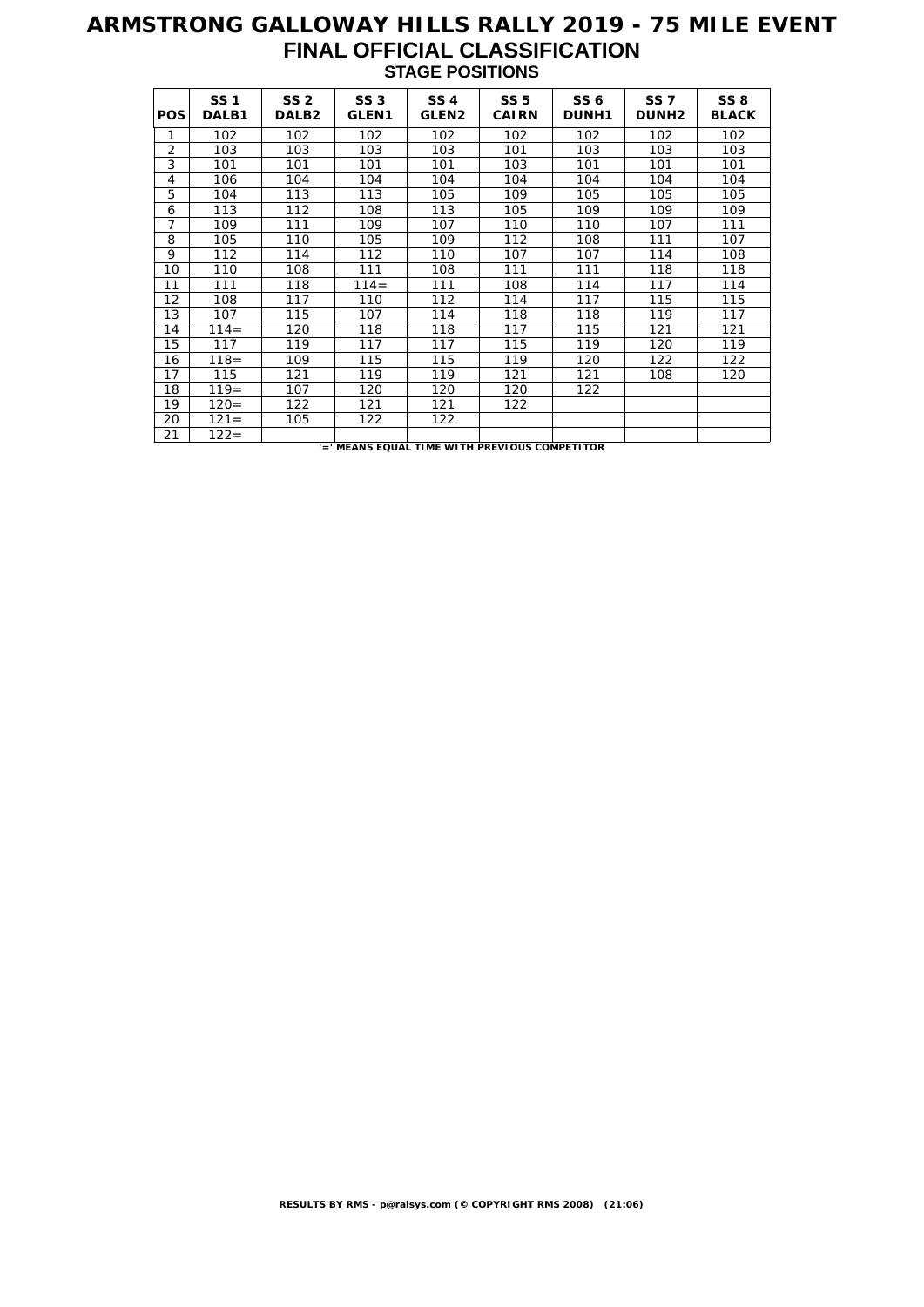## **ARMSTRONG GALLOWAY HILLS RALLY 2019 - 75 MILE EVENT FINAL OFFICIAL CLASSIFICATION STAGE POSITIONS**

|                | <b>SS1</b> | SS <sub>2</sub>   | SS <sub>3</sub>   | <b>SS4</b>        | <b>SS 5</b>  | SS <sub>6</sub> | <b>SS7</b>   | <b>SS 8</b>  |
|----------------|------------|-------------------|-------------------|-------------------|--------------|-----------------|--------------|--------------|
| POS            | DALB1      | DALB <sub>2</sub> | GLEN <sub>1</sub> | GLEN <sub>2</sub> | <b>CAIRN</b> | <b>DUNH1</b>    | <b>DUNH2</b> | <b>BLACK</b> |
| 1              | 102        | 102               | 102               | 102               | 102          | 102             | 102          | 102          |
| $\overline{2}$ | 103        | 103               | 103               | 103               | 101          | 103             | 103          | 103          |
| 3              | 101        | 101               | 101               | 101               | 103          | 101             | 101          | 101          |
| 4              | 106        | 104               | 104               | 104               | 104          | 104             | 104          | 104          |
| 5              | 104        | 113               | 113               | 105               | 109          | 105             | 105          | 105          |
| 6              | 113        | 112               | 108               | 113               | 105          | 109             | 109          | 109          |
| 7              | 109        | 111               | 109               | 107               | 110          | 110             | 107          | 111          |
| 8              | 105        | 110               | 105               | 109               | 112          | 108             | 111          | 107          |
| 9              | 112        | 114               | 112               | 110               | 107          | 107             | 114          | 108          |
| 10             | 110        | 108               | 111               | 108               | 111          | 111             | 118          | 118          |
| 11             | 111        | 118               | $114=$            | 111               | 108          | 114             | 117          | 114          |
| 12             | 108        | 117               | 110               | 112               | 114          | 117             | 115          | 115          |
| 13             | 107        | 115               | 107               | 114               | 118          | 118             | 119          | 117          |
| 14             | $114=$     | 120               | 118               | 118               | 117          | 115             | 121          | 121          |
| 15             | 117        | 119               | 117               | 117               | 115          | 119             | 120          | 119          |
| 16             | $118 =$    | 109               | 115               | 115               | 119          | 120             | 122          | 122          |
| 17             | 115        | 121               | 119               | 119               | 121          | 121             | 108          | 120          |
| 18             | $119=$     | 107               | 120               | 120               | 120          | 122             |              |              |
| 19             | $120 =$    | 122               | 121               | 121               | 122          |                 |              |              |
| 20             | $121 =$    | 105               | 122               | 122               |              |                 |              |              |
| 21             | $122 =$    |                   |                   |                   |              |                 |              |              |

**'=' MEANS EQUAL TIME WITH PREVIOUS COMPETITOR**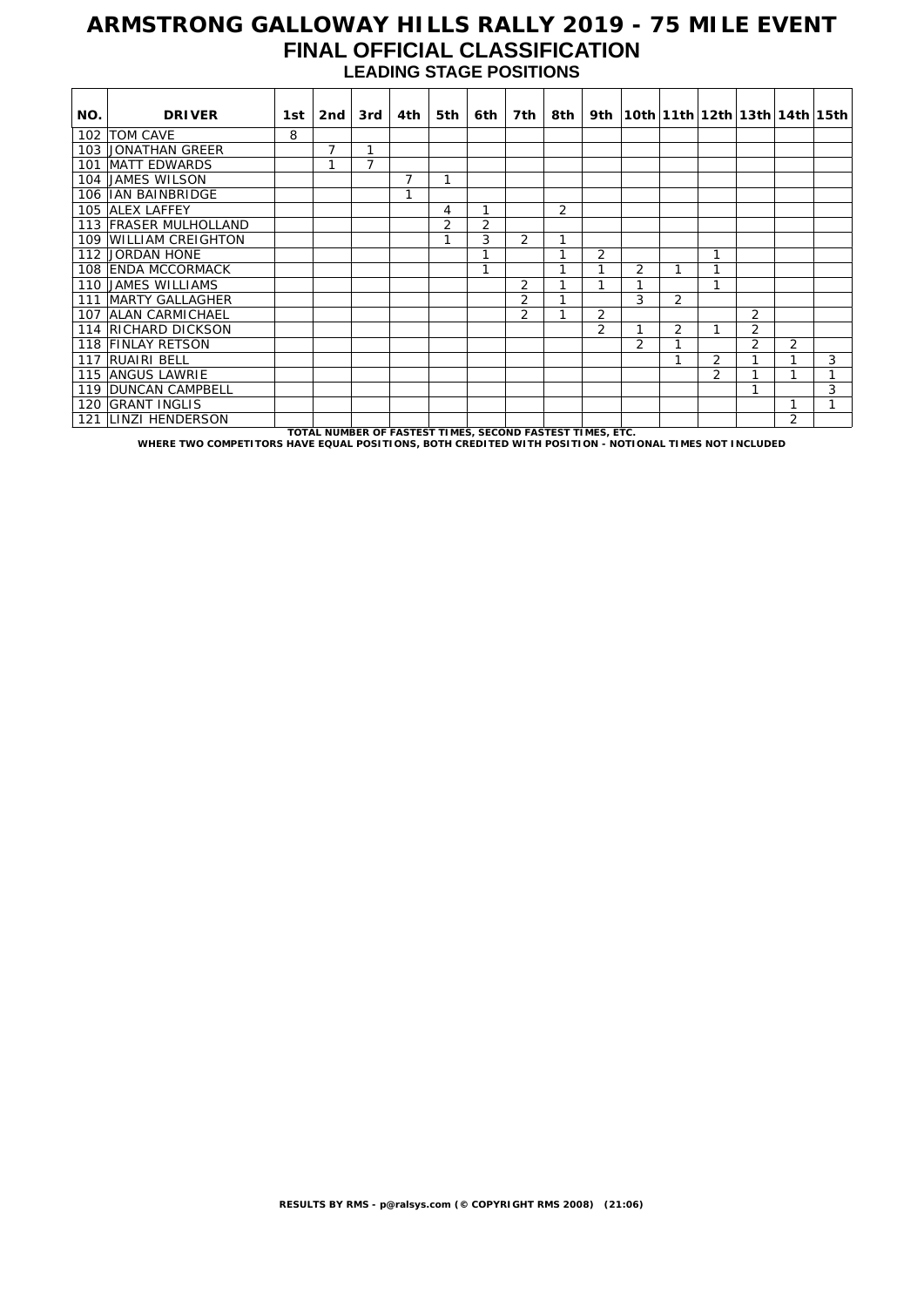### **ARMSTRONG GALLOWAY HILLS RALLY 2019 - 75 MILE EVENT FINAL OFFICIAL CLASSIFICATION LEADING STAGE POSITIONS**

| NO. | <b>DRIVER</b>                                                                                         | 1st i | 2nd            | 3rd | 4th                                                       | 5th            | 6th l          | 7th            | –8th ∣         |                | 9th   10th   11th   12th   13th   14th   15th |   |               |                |                |   |
|-----|-------------------------------------------------------------------------------------------------------|-------|----------------|-----|-----------------------------------------------------------|----------------|----------------|----------------|----------------|----------------|-----------------------------------------------|---|---------------|----------------|----------------|---|
|     | 102   TOM CAVE                                                                                        | 8     |                |     |                                                           |                |                |                |                |                |                                               |   |               |                |                |   |
|     | 103 JONATHAN GREER                                                                                    |       | $\overline{7}$ | 1   |                                                           |                |                |                |                |                |                                               |   |               |                |                |   |
|     | 101 MATT EDWARDS                                                                                      |       |                | 7   |                                                           |                |                |                |                |                |                                               |   |               |                |                |   |
|     | 104 JAMES WILSON                                                                                      |       |                |     | 7                                                         |                |                |                |                |                |                                               |   |               |                |                |   |
|     | 106 IIAN BAINBRIDGE                                                                                   |       |                |     | 1                                                         |                |                |                |                |                |                                               |   |               |                |                |   |
|     | 105 ALEX LAFFEY                                                                                       |       |                |     |                                                           | 4              |                |                | $\overline{2}$ |                |                                               |   |               |                |                |   |
|     | 113 FRASER MULHOLLAND                                                                                 |       |                |     |                                                           | $\overline{2}$ | $\overline{2}$ |                |                |                |                                               |   |               |                |                |   |
|     | 109 WILLIAM CREIGHTON                                                                                 |       |                |     |                                                           |                | 3              | $\overline{2}$ | h              |                |                                               |   |               |                |                |   |
|     | 112 JORDAN HONE                                                                                       |       |                |     |                                                           |                | 1              |                | $\mathbf{I}$   | 2              |                                               |   | 1             |                |                |   |
|     | 108 ENDA MCCORMACK                                                                                    |       |                |     |                                                           |                | 1              |                | и              |                | 2                                             | 1 |               |                |                |   |
|     | 110 JAMES WILLIAMS                                                                                    |       |                |     |                                                           |                |                | 2              |                | 1              | 1                                             |   | 1             |                |                |   |
|     | 111 MARTY GALLAGHER                                                                                   |       |                |     |                                                           |                |                | $\overline{2}$ |                |                | 3                                             | 2 |               |                |                |   |
|     | 107 ALAN CARMICHAEL                                                                                   |       |                |     |                                                           |                |                | 2              |                | $\overline{2}$ |                                               |   |               | 2              |                |   |
|     | 114 RICHARD DICKSON                                                                                   |       |                |     |                                                           |                |                |                |                | $\overline{2}$ | 1                                             | 2 |               | 2              |                |   |
|     | 118 FINLAY RETSON                                                                                     |       |                |     |                                                           |                |                |                |                |                | 2                                             | 1 |               | $\overline{2}$ | $\overline{2}$ |   |
|     | 117 RUAIRI BELL                                                                                       |       |                |     |                                                           |                |                |                |                |                |                                               | 1 | 2             |                | 1              | 3 |
|     | 115 ANGUS LAWRIE                                                                                      |       |                |     |                                                           |                |                |                |                |                |                                               |   | $\mathcal{P}$ |                | 1              |   |
|     | 119 DUNCAN CAMPBELL                                                                                   |       |                |     |                                                           |                |                |                |                |                |                                               |   |               |                |                | 3 |
|     | 120 GRANT INGLIS                                                                                      |       |                |     |                                                           |                |                |                |                |                |                                               |   |               |                | 1              |   |
| 121 | <b>LINZI HENDERSON</b>                                                                                |       |                |     |                                                           |                |                |                |                |                |                                               |   |               |                | 2              |   |
|     | WHERE TWO COMPETITORS HAVE EQUAL POSITIONS, BOTH CREDITED WITH POSITION - NOTIONAL TIMES NOT INCLUDED |       |                |     | TOTAL NUMBER OF FASTEST TIMES, SECOND FASTEST TIMES, ETC. |                |                |                |                |                |                                               |   |               |                |                |   |